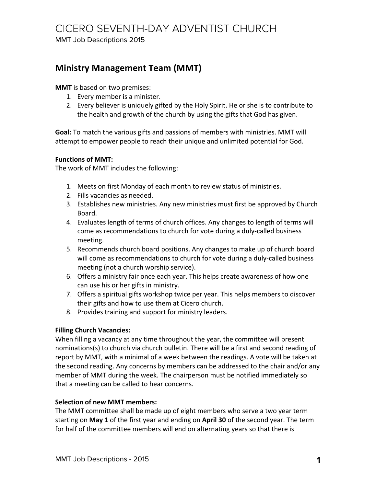# CICERO SEVENTH-DAY ADVENTIST CHURCH

MMT Job Descriptions 2015

### **Ministry Management Team (MMT)**

**MMT** is based on two premises:

- 1. Every member is a minister.
- 2. Every believer is uniquely gifted by the Holy Spirit. He or she is to contribute to the health and growth of the church by using the gifts that God has given.

**Goal:** To match the various gifts and passions of members with ministries. MMT will attempt to empower people to reach their unique and unlimited potential for God.

#### **Functions of MMT:**

The work of MMT includes the following:

- 1. Meets on first Monday of each month to review status of ministries.
- 2. Fills vacancies as needed.
- 3. Establishes new ministries. Any new ministries must first be approved by Church Board.
- 4. Evaluates length of terms of church offices. Any changes to length of terms will come as recommendations to church for vote during a duly-called business meeting.
- 5. Recommends church board positions. Any changes to make up of church board will come as recommendations to church for vote during a duly-called business meeting (not a church worship service).
- 6. Offers a ministry fair once each year. This helps create awareness of how one can use his or her gifts in ministry.
- 7. Offers a spiritual gifts workshop twice per year. This helps members to discover their gifts and how to use them at Cicero church.
- 8. Provides training and support for ministry leaders.

#### **Filling Church Vacancies:**

When filling a vacancy at any time throughout the year, the committee will present nominations(s) to church via church bulletin. There will be a first and second reading of report by MMT, with a minimal of a week between the readings. A vote will be taken at the second reading. Any concerns by members can be addressed to the chair and/or any member of MMT during the week. The chairperson must be notified immediately so that a meeting can be called to hear concerns.

#### **Selection of new MMT members:**

The MMT committee shall be made up of eight members who serve a two year term starting on May 1 of the first year and ending on April 30 of the second year. The term for half of the committee members will end on alternating years so that there is